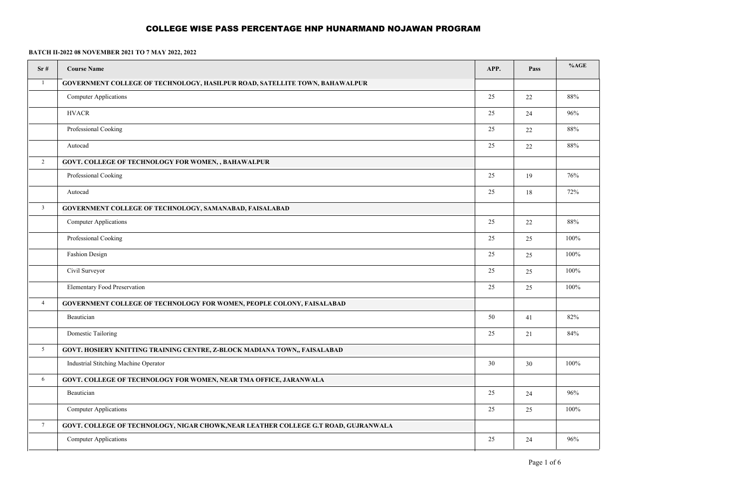| Sr#             | <b>Course Name</b>                                                                  | APP.   | Pass | %AGE |
|-----------------|-------------------------------------------------------------------------------------|--------|------|------|
| $\mathbf{1}$    | GOVERNMENT COLLEGE OF TECHNOLOGY, HASILPUR ROAD, SATELLITE TOWN, BAHAWALPUR         |        |      |      |
|                 | <b>Computer Applications</b>                                                        | 25     | 22   | 88%  |
|                 | <b>HVACR</b>                                                                        | 25     | 24   | 96%  |
|                 | Professional Cooking                                                                | 25     | 22   | 88%  |
|                 | Autocad                                                                             | 25     | 22   | 88%  |
| $\overline{2}$  | GOVT. COLLEGE OF TECHNOLOGY FOR WOMEN, , BAHAWALPUR                                 |        |      |      |
|                 | Professional Cooking                                                                | 25     | 19   | 76%  |
|                 | Autocad                                                                             | 25     | 18   | 72%  |
| $\overline{3}$  | GOVERNMENT COLLEGE OF TECHNOLOGY, SAMANABAD, FAISALABAD                             |        |      |      |
|                 | <b>Computer Applications</b>                                                        | 25     | 22   | 88%  |
|                 | Professional Cooking                                                                | 25     | 25   | 100% |
|                 | <b>Fashion Design</b>                                                               | 25     | 25   | 100% |
|                 | Civil Surveyor                                                                      | 25     | 25   | 100% |
|                 | <b>Elementary Food Preservation</b>                                                 | 25     | 25   | 100% |
| $\overline{4}$  | <b>GOVERNMENT COLLEGE OF TECHNOLOGY FOR WOMEN, PEOPLE COLONY, FAISALABAD</b>        |        |      |      |
|                 | Beautician                                                                          | 50     | 41   | 82%  |
|                 | <b>Domestic Tailoring</b>                                                           | 25     | 21   | 84%  |
| 5               | GOVT. HOSIERY KNITTING TRAINING CENTRE, Z-BLOCK MADIANA TOWN,, FAISALABAD           |        |      |      |
|                 | Industrial Stitching Machine Operator                                               | 30     | 30   | 100% |
| 6               | GOVT. COLLEGE OF TECHNOLOGY FOR WOMEN, NEAR TMA OFFICE, JARANWALA                   |        |      |      |
|                 | Beautician                                                                          | 25     | 24   | 96%  |
|                 | <b>Computer Applications</b>                                                        | 25     | 25   | 100% |
| $7\phantom{.0}$ | GOVT. COLLEGE OF TECHNOLOGY, NIGAR CHOWK, NEAR LEATHER COLLEGE G.T ROAD, GUJRANWALA |        |      |      |
|                 | <b>Computer Applications</b>                                                        | $25\,$ | 24   | 96%  |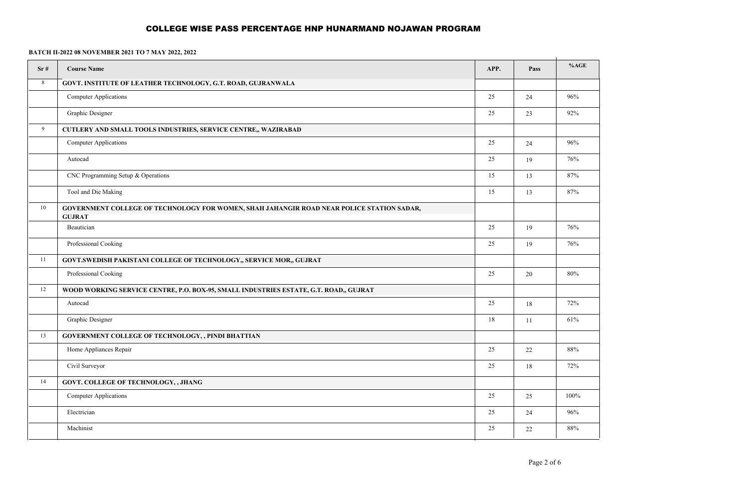| Sr# | <b>Course Name</b>                                                                                         | APP.   | Pass   | %AGE   |
|-----|------------------------------------------------------------------------------------------------------------|--------|--------|--------|
| 8   | GOVT. INSTITUTE OF LEATHER TECHNOLOGY, G.T. ROAD, GUJRANWALA                                               |        |        |        |
|     | <b>Computer Applications</b>                                                                               | 25     | 24     | 96%    |
|     | Graphic Designer                                                                                           | 25     | 23     | 92%    |
| 9   | <b>CUTLERY AND SMALL TOOLS INDUSTRIES, SERVICE CENTRE,, WAZIRABAD</b>                                      |        |        |        |
|     | <b>Computer Applications</b>                                                                               | 25     | 24     | 96%    |
|     | Autocad                                                                                                    | 25     | 19     | 76%    |
|     | CNC Programming Setup & Operations                                                                         | 15     | 13     | 87%    |
|     | Tool and Die Making                                                                                        | 15     | 13     | 87%    |
| 10  | GOVERNMENT COLLEGE OF TECHNOLOGY FOR WOMEN, SHAH JAHANGIR ROAD NEAR POLICE STATION SADAR,<br><b>GUJRAT</b> |        |        |        |
|     | Beautician                                                                                                 | 25     | 19     | 76%    |
|     | Professional Cooking                                                                                       | $25\,$ | 19     | 76%    |
| 11  | GOVT.SWEDISH PAKISTANI COLLEGE OF TECHNOLOGY,, SERVICE MOR,, GUJRAT                                        |        |        |        |
|     | Professional Cooking                                                                                       | 25     | 20     | $80\%$ |
| 12  | WOOD WORKING SERVICE CENTRE, P.O. BOX-95, SMALL INDUSTRIES ESTATE, G.T. ROAD,, GUJRAT                      |        |        |        |
|     | Autocad                                                                                                    | 25     | $18\,$ | 72%    |
|     | Graphic Designer                                                                                           | 18     | 11     | 61%    |
| 13  | GOVERNMENT COLLEGE OF TECHNOLOGY, , PINDI BHATTIAN                                                         |        |        |        |
|     | Home Appliances Repair                                                                                     | 25     | 22     | 88%    |
|     | Civil Surveyor                                                                                             | 25     | $18\,$ | 72%    |
| 14  | GOVT. COLLEGE OF TECHNOLOGY, , JHANG                                                                       |        |        |        |
|     | Computer Applications                                                                                      | 25     | 25     | 100%   |
|     | Electrician                                                                                                | 25     | 24     | 96%    |
|     | Machinist                                                                                                  | 25     | $22\,$ | $88\%$ |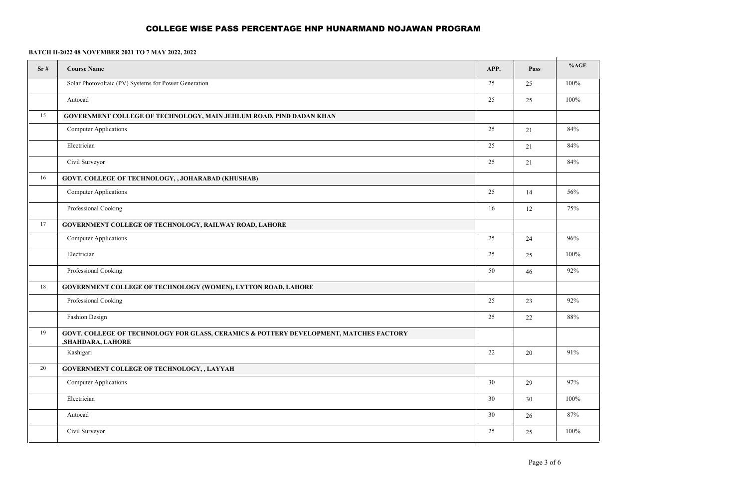| Sr# | <b>Course Name</b>                                                                                          | APP. | Pass | %AGE |
|-----|-------------------------------------------------------------------------------------------------------------|------|------|------|
|     | Solar Photovoltaic (PV) Systems for Power Generation                                                        | 25   | 25   | 100% |
|     | Autocad                                                                                                     | 25   | 25   | 100% |
| 15  | GOVERNMENT COLLEGE OF TECHNOLOGY, MAIN JEHLUM ROAD, PIND DADAN KHAN                                         |      |      |      |
|     | <b>Computer Applications</b>                                                                                | 25   | 21   | 84%  |
|     | Electrician                                                                                                 | 25   | 21   | 84%  |
|     | Civil Surveyor                                                                                              | 25   | 21   | 84%  |
| 16  | GOVT. COLLEGE OF TECHNOLOGY, , JOHARABAD (KHUSHAB)                                                          |      |      |      |
|     | <b>Computer Applications</b>                                                                                | 25   | 14   | 56%  |
|     | Professional Cooking                                                                                        | 16   | 12   | 75%  |
| 17  | GOVERNMENT COLLEGE OF TECHNOLOGY, RAILWAY ROAD, LAHORE                                                      |      |      |      |
|     | Computer Applications                                                                                       | 25   | 24   | 96%  |
|     | Electrician                                                                                                 | 25   | 25   | 100% |
|     | Professional Cooking                                                                                        | 50   | 46   | 92%  |
| 18  | GOVERNMENT COLLEGE OF TECHNOLOGY (WOMEN), LYTTON ROAD, LAHORE                                               |      |      |      |
|     | Professional Cooking                                                                                        | 25   | 23   | 92%  |
|     | Fashion Design                                                                                              | 25   | 22   | 88%  |
| 19  | GOVT. COLLEGE OF TECHNOLOGY FOR GLASS, CERAMICS & POTTERY DEVELOPMENT, MATCHES FACTORY<br>,SHAHDARA, LAHORE |      |      |      |
|     | Kashigari                                                                                                   | 22   | 20   | 91%  |
| 20  | GOVERNMENT COLLEGE OF TECHNOLOGY, , LAYYAH                                                                  |      |      |      |
|     | <b>Computer Applications</b>                                                                                | 30   | 29   | 97%  |
|     | Electrician                                                                                                 | 30   | 30   | 100% |
|     | Autocad                                                                                                     | 30   | 26   | 87%  |
|     | Civil Surveyor                                                                                              | 25   | 25   | 100% |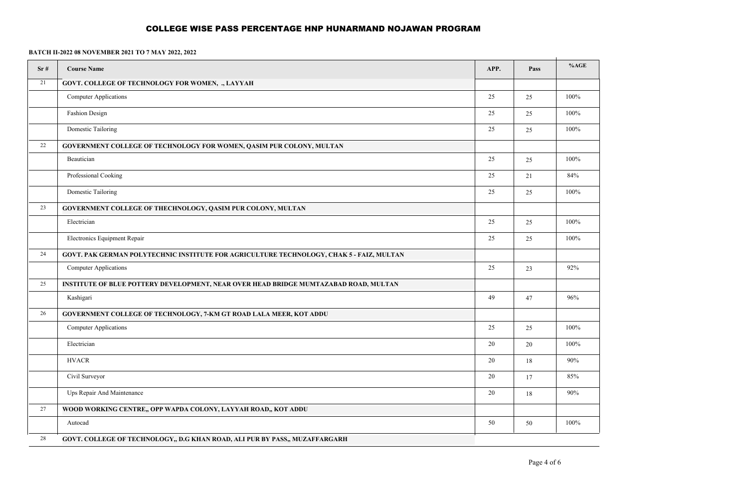| Sr# | <b>Course Name</b>                                                                          | APP. | Pass   | %AGE |
|-----|---------------------------------------------------------------------------------------------|------|--------|------|
| 21  | <b>GOVT. COLLEGE OF TECHNOLOGY FOR WOMEN, ., LAYYAH</b>                                     |      |        |      |
|     | <b>Computer Applications</b>                                                                | 25   | 25     | 100% |
|     | Fashion Design                                                                              | 25   | 25     | 100% |
|     | Domestic Tailoring                                                                          | 25   | 25     | 100% |
| 22  | GOVERNMENT COLLEGE OF TECHNOLOGY FOR WOMEN, QASIM PUR COLONY, MULTAN                        |      |        |      |
|     | Beautician                                                                                  | 25   | 25     | 100% |
|     | Professional Cooking                                                                        | 25   | 21     | 84%  |
|     | Domestic Tailoring                                                                          | 25   | 25     | 100% |
| 23  | GOVERNMENT COLLEGE OF THECHNOLOGY, QASIM PUR COLONY, MULTAN                                 |      |        |      |
|     | Electrician                                                                                 | 25   | 25     | 100% |
|     | Electronics Equipment Repair                                                                | 25   | 25     | 100% |
| 24  | GOVT. PAK GERMAN POLYTECHNIC INSTITUTE FOR AGRICULTURE TECHNOLOGY, CHAK 5 - FAIZ, MULTAN    |      |        |      |
|     | <b>Computer Applications</b>                                                                | 25   | 23     | 92%  |
| 25  | <b>INSTITUTE OF BLUE POTTERY DEVELOPMENT, NEAR OVER HEAD BRIDGE MUMTAZABAD ROAD, MULTAN</b> |      |        |      |
|     | Kashigari                                                                                   | 49   | 47     | 96%  |
| 26  | GOVERNMENT COLLEGE OF TECHNOLOGY, 7-KM GT ROAD LALA MEER, KOT ADDU                          |      |        |      |
|     | <b>Computer Applications</b>                                                                | 25   | 25     | 100% |
|     | Electrician                                                                                 | 20   | $20\,$ | 100% |
|     | <b>HVACR</b>                                                                                | 20   | 18     | 90%  |
|     | Civil Surveyor                                                                              | 20   | 17     | 85%  |
|     | Ups Repair And Maintenance                                                                  | 20   | 18     | 90%  |
| 27  | WOOD WORKING CENTRE,, OPP WAPDA COLONY, LAYYAH ROAD,, KOT ADDU                              |      |        |      |
|     | Autocad                                                                                     | 50   | 50     | 100% |
| 28  | GOVT. COLLEGE OF TECHNOLOGY,, D.G KHAN ROAD, ALI PUR BY PASS,, MUZAFFARGARH                 |      |        |      |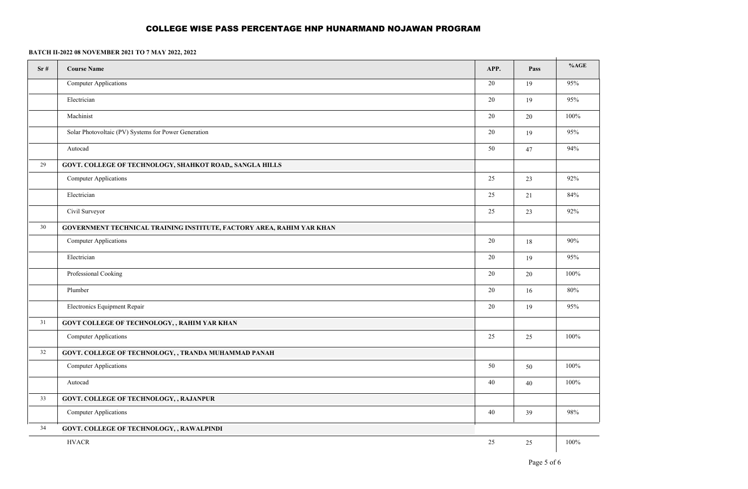| Sr# | <b>Course Name</b>                                                    | APP. | Pass   | %AGE    |
|-----|-----------------------------------------------------------------------|------|--------|---------|
|     | Computer Applications                                                 | 20   | 19     | 95%     |
|     | Electrician                                                           | 20   | 19     | 95%     |
|     | Machinist                                                             | 20   | $20\,$ | 100%    |
|     | Solar Photovoltaic (PV) Systems for Power Generation                  | 20   | 19     | 95%     |
|     | Autocad                                                               | 50   | 47     | 94%     |
| 29  | GOVT. COLLEGE OF TECHNOLOGY, SHAHKOT ROAD,, SANGLA HILLS              |      |        |         |
|     | Computer Applications                                                 | 25   | 23     | 92%     |
|     | Electrician                                                           | 25   | $21\,$ | 84%     |
|     | Civil Surveyor                                                        | 25   | 23     | 92%     |
| 30  | GOVERNMENT TECHNICAL TRAINING INSTITUTE, FACTORY AREA, RAHIM YAR KHAN |      |        |         |
|     | Computer Applications                                                 | 20   | 18     | 90%     |
|     | Electrician                                                           | 20   | 19     | 95%     |
|     | Professional Cooking                                                  | 20   | $20\,$ | 100%    |
|     | Plumber                                                               | 20   | 16     | 80%     |
|     | Electronics Equipment Repair                                          | 20   | 19     | 95%     |
| 31  | GOVT COLLEGE OF TECHNOLOGY, , RAHIM YAR KHAN                          |      |        |         |
|     | Computer Applications                                                 | 25   | 25     | 100%    |
| 32  | GOVT. COLLEGE OF TECHNOLOGY, , TRANDA MUHAMMAD PANAH                  |      |        |         |
|     | Computer Applications                                                 | 50   | 50     | $100\%$ |
|     | Autocad                                                               | 40   | 40     | $100\%$ |
| 33  | <b>GOVT. COLLEGE OF TECHNOLOGY, , RAJANPUR</b>                        |      |        |         |
|     | Computer Applications                                                 | 40   | 39     | 98%     |
| 34  | GOVT. COLLEGE OF TECHNOLOGY, , RAWALPINDI                             |      |        |         |
|     | <b>HVACR</b>                                                          | 25   | $25\,$ | 100%    |